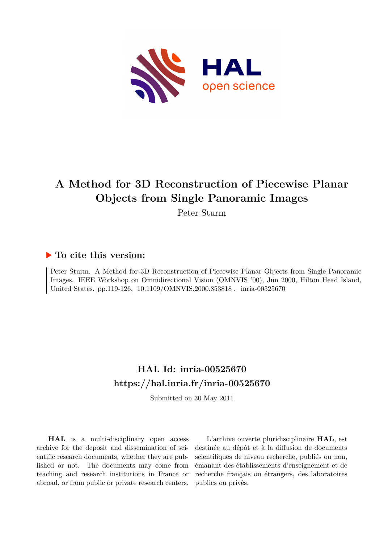

# **A Method for 3D Reconstruction of Piecewise Planar Objects from Single Panoramic Images**

Peter Sturm

# **To cite this version:**

Peter Sturm. A Method for 3D Reconstruction of Piecewise Planar Objects from Single Panoramic Images. IEEE Workshop on Omnidirectional Vision (OMNVIS '00), Jun 2000, Hilton Head Island, United States. pp.119-126, 10.1109/OMNVIS.2000.853818. inria-00525670

# **HAL Id: inria-00525670 <https://hal.inria.fr/inria-00525670>**

Submitted on 30 May 2011

**HAL** is a multi-disciplinary open access archive for the deposit and dissemination of scientific research documents, whether they are published or not. The documents may come from teaching and research institutions in France or abroad, or from public or private research centers.

L'archive ouverte pluridisciplinaire **HAL**, est destinée au dépôt et à la diffusion de documents scientifiques de niveau recherche, publiés ou non, émanant des établissements d'enseignement et de recherche français ou étrangers, des laboratoires publics ou privés.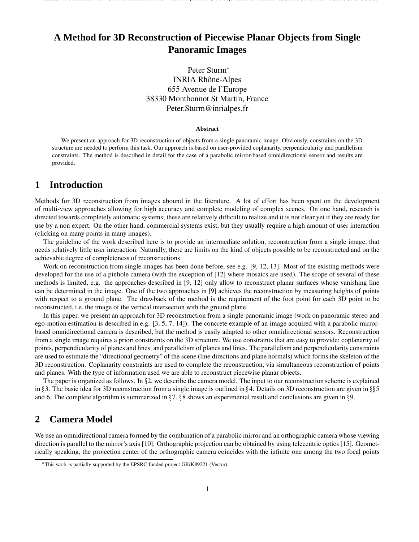IEEE WORKSHOP ON OMNIDIRECTIONAL VISION (WITH CVPR), HILTON HEAD ISLAND, PP. 119-126, JUNE 2000.

### Peter Sturm INRIA Rhône-Alpes 655 Avenue de l'Europe 38330 Montbonnot St Martin, France Peter.Sturm@inrialpes.fr

#### **Abstract**

We present an approach for 3D reconstruction of objects from a single panoramic image. Obviously, constraints on the 3D structure are needed to perform this task. Our approach is based on user-provided coplanarity, perpendicularity and parallelism constraints. The method is described in detail for the case of a parabolic mirror-based omnidirectional sensor and results are provided.

### **1 Introduction**

Methods for 3D reconstruction from images abound in the literature. A lot of effort has been spent on the development of multi-view approaches allowing for high accuracy and complete modeling of complex scenes. On one hand, research is directed towards completely automatic systems; these are relatively difficult to realize and it is not clear yet if they are ready for use by a non expert. On the other hand, commercial systems exist, but they usually require a high amount of user interaction (clicking on many points in many images).

The guideline of the work described here is to provide an intermediate solution, reconstruction from a single image, that needs relatively little user interaction. Naturally, there are limits on the kind of objects possible to be reconstructed and on the achievable degree of completeness of reconstructions.

Work on reconstruction from single images has been done before, see e.g. [9, 12, 13]. Most of the existing methods were developed for the use of a pinhole camera (with the exception of [12] where mosaics are used). The scope of several of these methods is limited, e.g. the approaches described in [9, 12] only allow to reconstruct planar surfaces whose vanishing line can be determined in the image. One of the two approaches in [9] achieves the reconstruction by measuring heights of points with respect to a ground plane. The drawback of the method is the requirement of the foot point for each 3D point to be reconstructed, i.e. the image of the vertical intersection with the ground plane.

In this paper, we present an approach for 3D reconstruction from a single panoramic image (work on panoramic stereo and ego-motion estimation is described in e.g. [3, 5, 7, 14]). The concrete example of an image acquired with a parabolic mirrorbased omnidirectional camera is described, but the method is easily adapted to other omnidirectional sensors. Reconstruction from a single image requires a priori constraints on the 3D structure. We use constraints that are easy to provide: coplanarity of points, perpendicularity of planes and lines, and parallelism of planes and lines. The parallelism and perpendicularity constraints are used to estimate the "directional geometry" of the scene (line directions and plane normals) which forms the skeleton of the 3D reconstruction. Coplanarity constraints are used to complete the reconstruction, via simultaneous reconstruction of points and planes. With the type of information used we are able to reconstruct piecewise planar objects.

The paper is organized as follows. In  $\S2$ , we describe the camera model. The input to our reconstruction scheme is explained in §3. The basic idea for 3D reconstruction from a single image is outlined in §4. Details on 3D reconstruction are given in §§5 and 6. The complete algorithm is summarized in  $\S7$ .  $\S8$  shows an experimental result and conclusions are given in  $\S9$ .

### **2 Camera Model**

We use an omnidirectional camera formed by the combination of a parabolic mirror and an orthographic camera whose viewing direction is parallel to the mirror's axis [10]. Orthographic projection can be obtained by using telecentric optics [15]. Geometrically speaking, the projection center of the orthographic camera coincides with the infinite one among the two focal points

This work is partially supported by the EPSRC funded project GR/K89221 (Vector).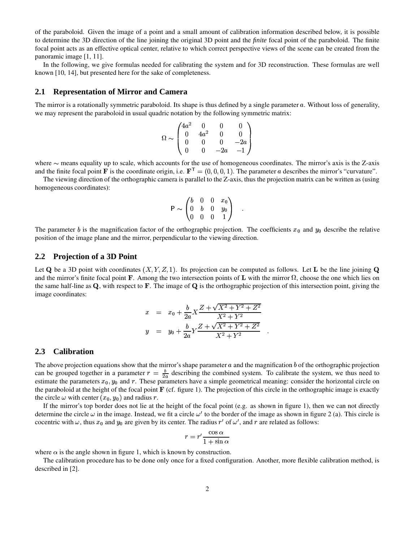of the paraboloid. Given the image of a point and a small amount of calibration information described below, it is possible to determine the 3D direction of the line joining the original 3D point and the *finite* focal point of the paraboloid. The finite focal point acts as an effective optical center, relative to which correct perspective views of the scene can be created from the panoramic image [1, 11].

In the following, we give formulas needed for calibrating the system and for 3D reconstruction. These formulas are well known [10, 14], but presented here for the sake of completeness.

#### **2.1 Representation of Mirror and Camera**

The mirror is a rotationally symmetric paraboloid. Its shape is thus defined by a single parameter a. Without loss of generality, we may represent the paraboloid in usual quadric notation by the following symmetric matrix:

$$
\Omega \sim \begin{pmatrix} 4a^2 & 0 & 0 & 0 \\ 0 & 4a^2 & 0 & 0 \\ 0 & 0 & 0 & -2a \\ 0 & 0 & -2a & -1 \end{pmatrix}
$$

where  $\sim$  means equality up to scale, which accounts for the use of homogeneous coordinates. The mirror's axis is the Z-axis and the finite focal point **F** is the coordinate origin, i.e.  $\mathbf{F}^{\top} = (0, 0, 0, 1)$ . The parameter a describes the mirror's "curvature".

The viewing direction of the orthographic camera is parallel to the Z-axis, thus the projection matrix can be written as (using homogeneous coordinates):

$$
\mathsf{P} \sim \begin{pmatrix} b & 0 & 0 & x_0 \\ 0 & b & 0 & y_0 \\ 0 & 0 & 0 & 1 \end{pmatrix} .
$$

The parameter b is the magnification factor of the orthographic projection. The coefficients  $x_0$  and  $y_0$  describe the relative position of the image plane and the mirror, perpendicular to the viewing direction.

#### **2.2 Projection of a 3D Point**

Let Q be a 3D point with coordinates  $(X, Y, Z, 1)$ . Its projection can be computed as follows. Let L be the line joining Q and the mirror's finite focal point **F**. Among the two intersection points of **L** with the mirror  $\Omega$ , choose the one which lies on the same half-line as  $\bf Q$ , with respect to  $\bf F$ . The image of  $\bf Q$  is the orthographic projection of this intersection point, giving the image coordinates:

$$
x = x_0 + \frac{b}{2a} X \frac{Z + \sqrt{X^2 + Y^2 + Z^2}}{X^2 + Y^2}
$$
  

$$
y = y_0 + \frac{b}{2a} Y \frac{Z + \sqrt{X^2 + Y^2 + Z^2}}{X^2 + Y^2}
$$

#### **2.3 Calibration**

The above projection equations show that the mirror's shape parameter  $a$  and the magnification  $b$  of the orthographic projection can be grouped together in a parameter  $r = \frac{b}{2a}$  describing the combined system. To calibrate the system, we thus need to estimate the parameters  $x_0$ ,  $y_0$  and  $r$ . These parameters have a simple geometrical meaning: consider the horizontal circle on the paraboloid at the height of the focal point  $\bf{F}$  (cf. figure 1). The projection of this circle in the orthographic image is exactly the circle  $\omega$  with center  $(x_0, y_0)$  and radius r.

If the mirror's top border does not lie at the height of the focal point (e.g. as shown in figure 1), then we can not directly determine the circle  $\omega$  in the image. Instead, we fit a circle  $\omega'$  to the border of the image as shown in figure 2 (a). This circle is cocentric with  $\omega$ , thus  $x_0$  and  $y_0$  are given by its center. The radius  $r'$  of  $\omega'$ , and r are related as follows:

$$
r = r' \frac{\cos \alpha}{1 + \sin \alpha}
$$

where  $\alpha$  is the angle shown in figure 1, which is known by construction.

The calibration procedure has to be done only once for a fixed configuration. Another, more flexible calibration method, is described in [2].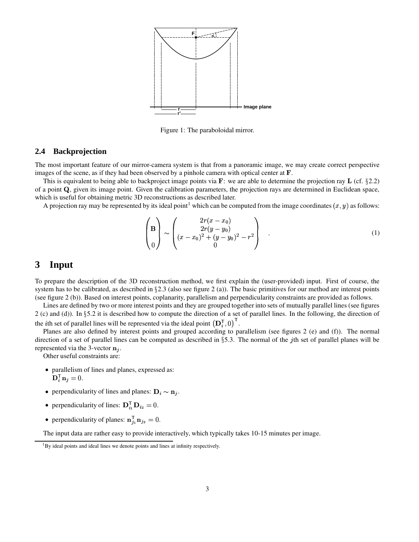

Figure 1: The paraboloidal mirror.

#### **2.4 Backprojection**

The most important feature of our mirror-camera system is that from a panoramic image, we may create correct perspective images of the scene, as if they had been observed by a pinhole camera with optical center at  $\mathbf{F}$ .

This is equivalent to being able to backproject image points via  $\bf{F}$ : we are able to determine the projection ray  $\bf{L}$  (cf.  $\S 2.2$ ) of a point  $Q$ , given its image point. Given the calibration parameters, the projection rays are determined in Euclidean space, which is useful for obtaining metric 3D reconstructions as described later.

A projection ray may be represented by its ideal point<sup>1</sup> which can be computed from the image coordinates  $(x, y)$  as follows:

$$
\begin{pmatrix} \mathbf{B} \\ \mathbf{0} \end{pmatrix} \sim \begin{pmatrix} 2r(x-x_0) \\ 2r(y-y_0) \\ (x-x_0)^2 + (y-y_0)^2 - r^2 \\ 0 \end{pmatrix} . \tag{1}
$$

### **3 Input**

To prepare the description of the 3D reconstruction method, we first explain the (user-provided) input. First of course, the system has to be calibrated, as described in  $\S2.3$  (also see figure 2 (a)). The basic primitives for our method are interest points (see figure 2 (b)). Based on interest points, coplanarity, parallelism and perpendicularity constraints are provided as follows.

Lines are defined by two or more interest points and they are grouped together into sets of mutually parallel lines (see figures 2 (c) and (d)). In 5.2 it is described how to compute the direction of a set of parallel lines. In the following, the direction of the *i*th set of parallel lines will be represented via the ideal point  $(D_i^T, 0)$ .

Planes are also defined by interest points and grouped according to parallelism (see figures 2 (e) and (f)). The normal direction of a set of parallel lines can be computed as described in  $\S$ 5.3. The normal of the *j*th set of parallel planes will be represented via the 3-vector  $\mathbf{n}_i$ .

Other useful constraints are:

- parallelism of lines and planes, expressed as:  $\mathbf{D}_i^{\mathsf{T}} \mathbf{n}_j = 0.$
- perpendicularity of lines and planes:  $\mathbf{D}_i \sim \mathbf{n}_j$ .
- perpendicularity of lines:  $\mathbf{D}_{i_1}^{\mathsf{T}} \mathbf{D}_{i_2} = 0$ .
- perpendicularity of planes:  $\mathbf{n}_{i_1}^T \mathbf{n}_{i_2} = 0$ .

The input data are rather easy to provide interactively, which typically takes 10-15 minutes per image.

 $1_{\text{By}}$  ideal points and ideal lines we denote points and lines at infinity respectively.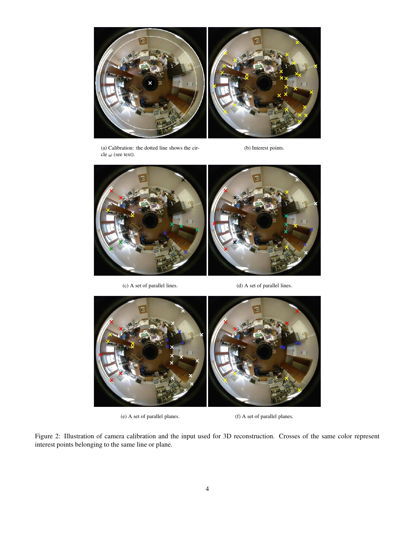

(a) Calibration: the dotted line shows the circle $\omega$  (see text).

(b) Interest points.



(c) A set of parallel lines. (d) A set of parallel lines.





(e) A set of parallel planes. (f) A set of parallel planes.

Figure 2: Illustration of camera calibration and the input used for 3D reconstruction. Crosses of the same color represent interest points belonging to the same line or plane.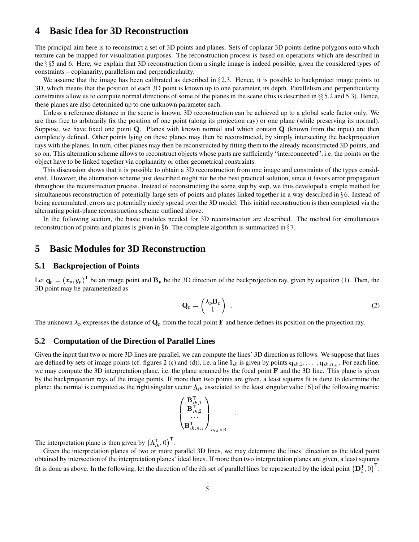### **4 Basic Idea for 3D Reconstruction**

The principal aim here is to reconstruct a set of 3D points and planes. Sets of coplanar 3D points define polygons onto which texture can be mapped for visualization purposes. The reconstruction process is based on operations which are described in the §§5 and 6. Here, we explain that 3D reconstruction from a single image is indeed possible, given the considered types of constraints – coplanarity, parallelism and perpendicularity.

We assume that the image has been calibrated as described in §2.3. Hence, it is possible to backproject image points to 3D, which means that the position of each 3D point is known up to one parameter, its depth. Parallelism and perpendicularity constraints allow us to compute normal directions of some of the planes in the scene (this is described in  $\S$ §5.2 and 5.3). Hence, these planes are also determined up to one unknown parameter each.

Unless a reference distance in the scene is known, 3D reconstruction can be achieved up to a global scale factor only. We are thus free to arbitrarily fix the position of one point (along its projection ray) or one plane (while preserving its normal). Suppose, we have fixed one point Q. Planes with known normal and which contain  $Q$  (known from the input) are then completely defined. Other points lying on these planes may then be reconstructed, by simply intersecting the backprojection rays with the planes. In turn, other planes may then be reconstructed by fitting them to the already reconstructed 3D points, and so on. This alternation scheme allows to reconstruct objects whose parts are sufficiently "interconnected", i.e. the points on the object have to be linked together via coplanarity or other geometrical constraints.

This discussion shows that it is possible to obtain a 3D reconstruction from one image and constraints of the types considered. However, the alternation scheme just described might not be the best practical solution, since it favors error propagation throughout the reconstruction process. Instead of reconstructing the scene step by step, we thus developed a simple method for simultaneous reconstruction of potentially large sets of points and planes linked together in a way described in 6. Instead of being accumulated, errors are potentially nicely spread over the 3D model. This initial reconstruction is then completed via the alternating point-plane reconstruction scheme outlined above.

In the following section, the basic modules needed for 3D reconstruction are described. The method for simultaneous reconstruction of points and planes is given in  $\S 6$ . The complete algorithm is summarized in  $\S 7$ .

### **5 Basic Modules for 3D Reconstruction**

#### **5.1 Backprojection of Points**

Let  $\mathbf{q}_p = (x_p, y_p)$  be an image point and  $\mathbf{B}_p$  be the 3D direction of the backprojection ray, given by equation (1). Then, the 3D point may be parameterized as

$$
\mathbf{Q}_p = \begin{pmatrix} \lambda_p \mathbf{B}_p \\ 1 \end{pmatrix} . \tag{2}
$$

The unknown  $\lambda_p$  expresses the distance of  $\mathbf{Q}_p$  from the focal point **F** and hence defines its position on the projection ray.

#### **5.2 Computation of the Direction of Parallel Lines**

Given the input that two or more 3D lines are parallel, we can compute the lines' 3D direction as follows. We suppose that lines are defined by sets of image points (cf. figures 2 (c) and (d)), i.e. a line  $l_{ik}$  is given by points  $q_{ik,1}, \ldots, q_{ik,n_{ik}}$ . For each line, we may compute the 3D interpretation plane, i.e. the plane spanned by the focal point  $\bf{F}$  and the 3D line. This plane is given by the backprojection rays of the image points. If more than two points are given, a least squares fit is done to determine the plane: the normal is computed as the right singular vector  $\Lambda_{ik}$  associated to the least singular value [6] of the following matrix:

$$
\begin{pmatrix}\n\mathbf{B}_{ik,1}^{\mathsf{T}} \\
\mathbf{B}_{ik,2}^{\mathsf{T}} \\
\vdots \\
\mathbf{B}_{ik,n_{ik}}^{\mathsf{T}}\n\end{pmatrix}_{n_{ik}\times 3}
$$

The interpretation plane is then given by  $(\Lambda_{ik}^T, 0)$ .

Given the interpretation planes of two or more parallel 3D lines, we may determine the lines' direction as the ideal point obtained by intersection of the interpretation planes' ideal lines. If more than two interpretation planes are given, a least squares fit is done as above. In the following, let the direction of the *i*th set of parallel lines be represented by the ideal point  $(D_i^T, 0)$ .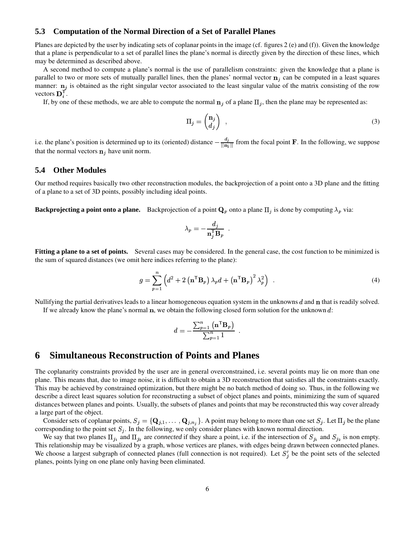#### **5.3 Computation of the Normal Direction of a Set of Parallel Planes**

Planes are depicted by the user by indicating sets of coplanar points in the image (cf. figures 2 (e) and (f)). Given the knowledge that a plane is perpendicular to a set of parallel lines the plane's normal is directly given by the direction of these lines, which may be determined as described above.

A second method to compute a plane's normal is the use of parallelism constraints: given the knowledge that a plane is parallel to two or more sets of mutually parallel lines, then the planes' normal vector  $n_j$  can be computed in a least squares manner:  $\mathbf{n}_i$  is obtained as the right singular vector associated to the least singular value of the matrix consisting of the row vectors  $\mathbf{D}_i^{\mathsf{T}}$ .

If, by one of these methods, we are able to compute the normal  $\mathbf{n}_i$  of a plane  $\Pi_i$ , then the plane may be represented as:

$$
\Pi_j = \begin{pmatrix} \mathbf{n}_j \\ d_j \end{pmatrix} \tag{3}
$$

i.e. the plane's position is determined up to its (oriented) distance  $-\frac{d_j}{\ln n}$  from the focal point **F**. In the following, we suppose that the normal vectors  $\mathbf{n}_i$  have unit norm.

#### **5.4 Other Modules**

Our method requires basically two other reconstruction modules, the backprojection of a point onto a 3D plane and the fitting of a plane to a set of 3D points, possibly including ideal points.

**Backprojecting a point onto a plane.** Backprojection of a point  $\mathbf{Q}_p$  onto a plane  $\Pi_j$  is done by computing  $\lambda_p$  via:

$$
\lambda_p = - \frac{d_j}{\mathbf{n}_j^\top \mathbf{B}_p}~~.
$$

**Fitting a plane to a set of points.** Several cases may be considered. In the general case, the cost function to be minimized is the sum of squared distances (we omit here indices referring to the plane):

$$
g = \sum_{p=1}^{n} \left( d^2 + 2 \left( \mathbf{n}^{\mathsf{T}} \mathbf{B}_p \right) \lambda_p d + \left( \mathbf{n}^{\mathsf{T}} \mathbf{B}_p \right)^2 \lambda_p^2 \right) \tag{4}
$$

Nullifying the partial derivatives leads to a linear homogeneous equation system in the unknowns  $d$  and  $n$  that is readily solved. If we already know the plane's normal  $\bf{n}$ , we obtain the following closed form solution for the unknown d:

$$
d = - \frac{\sum_{p=1}^{n} (\mathbf{n}^{\mathsf{T}} \mathbf{B}_p)}{\sum_{p=1}^{n} 1} .
$$

### **6 Simultaneous Reconstruction of Points and Planes**

The coplanarity constraints provided by the user are in general overconstrained, i.e. several points may lie on more than one plane. This means that, due to image noise, it is difficult to obtain a 3D reconstruction that satisfies all the constraints exactly. This may be achieved by constrained optimization, but there might be no batch method of doing so. Thus, in the following we describe a direct least squares solution for reconstructing a subset of object planes and points, minimizing the sum of squared distances between planes and points. Usually, the subsets of planes and points that may be reconstructed this way cover already a large part of the object.

Consider sets of coplanar points,  $S_i = \{Q_{i,1}, \ldots, Q_{i,n_i}\}\.$  A point may belong to more than one set  $S_i$ . Let  $\Pi_i$  be the plane corresponding to the point set  $S_j$ . In the following, we only consider planes with known normal direction.

We say that two planes  $\Pi_{j_1}$  and  $\Pi_{j_2}$  are *connected* if they share a point, i.e. if the intersection of  $S_{j_1}$  and  $S_{j_2}$  is non empty. This relationship may be visualized by a graph, whose vertices are planes, with edges being drawn between connected planes. We choose a largest subgraph of connected planes (full connection is not required). Let  $S_i$  be the point sets of the selected planes, points lying on one plane only having been eliminated.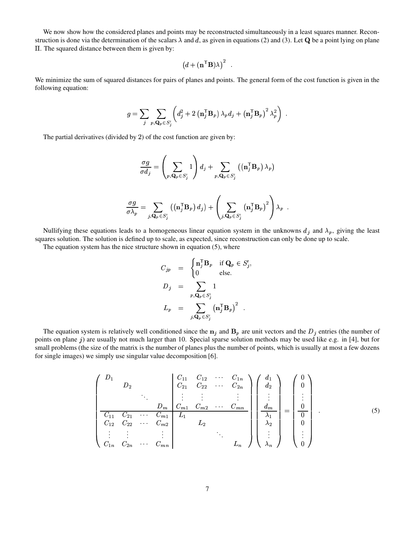We now show how the considered planes and points may be reconstructed simultaneously in a least squares manner. Reconstruction is done via the determination of the scalars  $\lambda$  and d, as given in equations (2) and (3). Let Q be a point lying on plane . The squared distance between them is given by:

$$
(d + (\mathbf{n}^\mathsf{T} \mathbf{B}) \lambda)^2
$$

We minimize the sum of squared distances for pairs of planes and points. The general form of the cost function is given in the following equation:

$$
g = \sum_{j} \sum_{p, \mathbf{Q}_p \in S'_j} \left( d_j^2 + 2 \left( \mathbf{n}_j^{\mathsf{T}} \mathbf{B}_p \right) \lambda_p d_j + \left( \mathbf{n}_j^{\mathsf{T}} \mathbf{B}_p \right)^2 \lambda_p^2 \right) .
$$

The partial derivatives (divided by 2) of the cost function are given by:

$$
\frac{\sigma g}{\sigma d_j} = \left(\sum_{p, \mathbf{Q}_p \in S'_j} 1\right) d_j + \sum_{p, \mathbf{Q}_p \in S'_j} \left( (\mathbf{n}_j^{\mathsf{T}} \mathbf{B}_p) \lambda_p \right)
$$

$$
\frac{\sigma g}{\sigma \lambda_p} = \sum_{j, \mathbf{Q}_p \in S'_j} \left( (\mathbf{n}_j^{\mathsf{T}} \mathbf{B}_p) d_j \right) + \left( \sum_{j, \mathbf{Q}_p \in S'_j} \left( \mathbf{n}_j^{\mathsf{T}} \mathbf{B}_p \right)^2 \right) \lambda_p.
$$

Nullifying these equations leads to a homogeneous linear equation system in the unknowns  $d_i$  and  $\lambda_p$ , giving the least squares solution. The solution is defined up to scale, as expected, since reconstruction can only be done up to scale.

The equation system has the nice structure shown in equation (5), where

$$
C_{jp} = \begin{cases} \mathbf{n}_j^{\mathsf{T}} \mathbf{B}_p & \text{if } \mathbf{Q}_p \in S'_j, \\ 0 & \text{else.} \end{cases}
$$
  

$$
D_j = \sum_{p, \mathbf{Q}_p \in S'_j} 1
$$
  

$$
L_p = \sum_{j, \mathbf{Q}_p \in S'_j} (\mathbf{n}_j^{\mathsf{T}} \mathbf{B}_p)^2.
$$

The equation system is relatively well conditioned since the  $n_i$  and  $B_p$  are unit vectors and the  $D_i$  entries (the number of points on plane  $j$ ) are usually not much larger than 10. Special sparse solution methods may be used like e.g. in [4], but for small problems (the size of the matrix is the number of planes plus the number of points, which is usually at most a few dozens for single images) we simply use singular value decomposition [6].

$$
\begin{pmatrix}\nD_1 & & & & & C_{11} & C_{12} & \cdots & C_{1n} \\
D_2 & & & & C_{21} & C_{22} & \cdots & C_{2n} \\
\vdots & & \vdots & & \vdots & & \vdots \\
D_m & C_{m1} & C_{m2} & \cdots & C_{mn} \\
\hline\nC_{11} & C_{21} & \cdots & C_{m1} & L_1 & L_2 & \cdots \\
C_{12} & C_{22} & \cdots & C_{m2} & L_2 & \cdots \\
\vdots & \vdots & & \vdots & & \ddots \\
C_{1n} & C_{2n} & \cdots & C_{mn} & & L_n\n\end{pmatrix}\n\begin{pmatrix}\nd_1 \\
d_2 \\
\vdots \\
d_m \\
\lambda_2 \\
\vdots \\
\lambda_n\n\end{pmatrix} = \begin{pmatrix}\n0 \\
0 \\
\vdots \\
0 \\
0 \\
\vdots \\
0\n\end{pmatrix}.
$$
\n(5)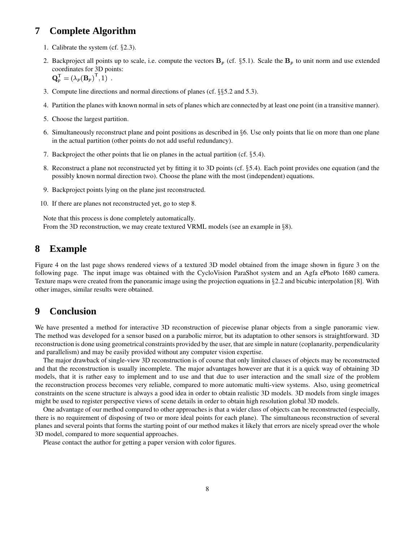## **7 Complete Algorithm**

- 1. Calibrate the system (cf.  $\S 2.3$ ).
- 2. Backproject all points up to scale, i.e. compute the vectors  $\mathbf{B}_p$  (cf. §5.1). Scale the  $\mathbf{B}_p$  to unit norm and use extended coordinates for 3D points:

 $\mathbf{Q}_{n}^{\mathsf{T}} = (\lambda_{n}(\mathbf{B}_{n})^{\mathsf{T}}, 1)$ .

- 3. Compute line directions and normal directions of planes (cf.  $\S$  $5.2$  and  $5.3$ ).
- 4. Partition the planes with known normal in sets of planes which are connected by at least one point (in a transitive manner).
- 5. Choose the largest partition.
- 6. Simultaneously reconstruct plane and point positions as described in 6. Use only points that lie on more than one plane in the actual partition (other points do not add useful redundancy).
- 7. Backproject the other points that lie on planes in the actual partition (cf. 5.4).
- 8. Reconstruct a plane not reconstructed yet by fitting it to 3D points (cf. 5.4). Each point provides one equation (and the possibly known normal direction two). Choose the plane with the most (independent) equations.
- 9. Backproject points lying on the plane just reconstructed.
- 10. If there are planes not reconstructed yet, go to step 8.

Note that this process is done completely automatically. From the 3D reconstruction, we may create textured VRML models (see an example in  $\S 8$ ).

### **8 Example**

Figure 4 on the last page shows rendered views of a textured 3D model obtained from the image shown in figure 3 on the following page. The input image was obtained with the CycloVision ParaShot system and an Agfa ePhoto 1680 camera. Texture maps were created from the panoramic image using the projection equations in 2.2 and bicubic interpolation [8]. With other images, similar results were obtained.

### **9 Conclusion**

We have presented a method for interactive 3D reconstruction of piecewise planar objects from a single panoramic view. The method was developed for a sensor based on a parabolic mirror, but its adaptation to other sensors is straightforward. 3D reconstruction is done using geometrical constraints provided by the user, that are simple in nature (coplanarity, perpendicularity and parallelism) and may be easily provided without any computer vision expertise.

The major drawback of single-view 3D reconstruction is of course that only limited classes of objects may be reconstructed and that the reconstruction is usually incomplete. The major advantages however are that it is a quick way of obtaining 3D models, that it is rather easy to implement and to use and that due to user interaction and the small size of the problem the reconstruction process becomes very reliable, compared to more automatic multi-view systems. Also, using geometrical constraints on the scene structure is always a good idea in order to obtain realistic 3D models. 3D models from single images might be used to register perspective views of scene details in order to obtain high resolution global 3D models.

One advantage of our method compared to other approaches is that a wider class of objects can be reconstructed (especially, there is no requirement of disposing of two or more ideal points for each plane). The simultaneous reconstruction of several planes and several points that forms the starting point of our method makes it likely that errors are nicely spread over the whole 3D model, compared to more sequential approaches.

Please contact the author for getting a paper version with color figures.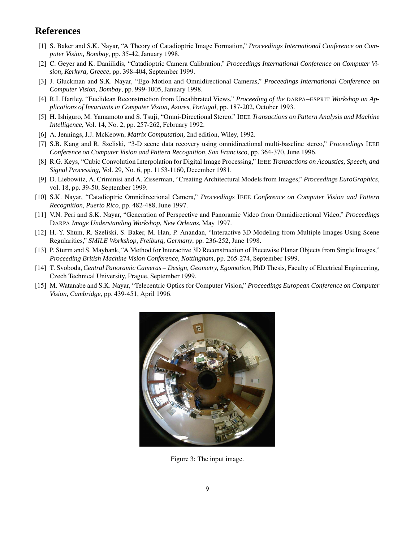## **References**

- [1] S. Baker and S.K. Nayar, "A Theory of Catadioptric Image Formation," *Proceedings International Conference on Computer Vision, Bombay*, pp. 35-42, January 1998.
- [2] C. Geyer and K. Daniilidis, "Catadioptric Camera Calibration," *Proceedings International Conference on Computer Vision, Kerkyra, Greece*, pp. 398-404, September 1999.
- [3] J. Gluckman and S.K. Nayar, "Ego-Motion and Omnidirectional Cameras," *Proceedings International Conference on Computer Vision, Bombay*, pp. 999-1005, January 1998.
- [4] R.I. Hartley, "Euclidean Reconstruction from Uncalibrated Views," *Proceeding of the* DARPA–ESPRIT *Workshop on Applications of Invariants in Computer Vision, Azores, Portugal*, pp. 187-202, October 1993.
- [5] H. Ishiguro, M. Yamamoto and S. Tsuji, "Omni-Directional Stereo," IEEE *Transactions on Pattern Analysis and Machine Intelligence*, Vol. 14, No. 2, pp. 257-262, February 1992.
- [6] A. Jennings, J.J. McKeown, *Matrix Computation,* 2nd edition, Wiley, 1992.
- [7] S.B. Kang and R. Szeliski, "3-D scene data recovery using omnidirectional multi-baseline stereo," *Proceedings* IEEE *Conference on Computer Vision and Pattern Recognition, San Francisco*, pp. 364-370, June 1996.
- [8] R.G. Keys, "Cubic Convolution Interpolation for Digital Image Processing," IEEE *Transactions on Acoustics, Speech, and Signal Processing,* Vol. 29, No. 6, pp. 1153-1160, December 1981.
- [9] D. Liebowitz, A. Criminisi and A. Zisserman, "Creating Architectural Models from Images," *Proceedings EuroGraphics*, vol. 18, pp. 39-50, September 1999.
- [10] S.K. Nayar, "Catadioptric Omnidirectional Camera," *Proceedings* IEEE *Conference on Computer Vision and Pattern Recognition, Puerto Rico*, pp. 482-488, June 1997.
- [11] V.N. Peri and S.K. Nayar, "Generation of Perspective and Panoramic Video from Omnidirectional Video," *Proceedings* DARPA *Image Understanding Workshop, New Orleans*, May 1997.
- [12] H.-Y. Shum, R. Szeliski, S. Baker, M. Han, P. Anandan, "Interactive 3D Modeling from Multiple Images Using Scene Regularities," *SMILE Workshop, Freiburg, Germany*, pp. 236-252, June 1998.
- [13] P. Sturm and S. Maybank, "A Method for Interactive 3D Reconstruction of Piecewise Planar Objects from Single Images," *Proceeding British Machine Vision Conference, Nottingham*, pp. 265-274, September 1999.
- [14] T. Svoboda, *Central Panoramic Cameras – Design, Geometry, Egomotion,* PhD Thesis, Faculty of Electrical Engineering, Czech Technical University, Prague, September 1999.
- [15] M. Watanabe and S.K. Nayar, "Telecentric Optics for Computer Vision," *Proceedings European Conference on Computer Vision, Cambridge*, pp. 439-451, April 1996.



Figure 3: The input image.